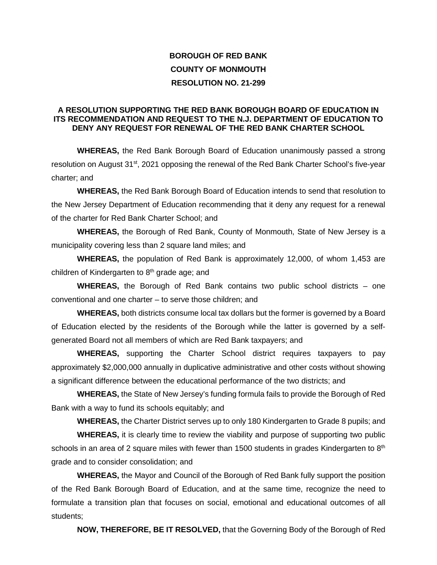## **BOROUGH OF RED BANK COUNTY OF MONMOUTH RESOLUTION NO. 21-299**

## **A RESOLUTION SUPPORTING THE RED BANK BOROUGH BOARD OF EDUCATION IN ITS RECOMMENDATION AND REQUEST TO THE N.J. DEPARTMENT OF EDUCATION TO DENY ANY REQUEST FOR RENEWAL OF THE RED BANK CHARTER SCHOOL**

**WHEREAS,** the Red Bank Borough Board of Education unanimously passed a strong resolution on August 31<sup>st</sup>, 2021 opposing the renewal of the Red Bank Charter School's five-year charter; and

**WHEREAS,** the Red Bank Borough Board of Education intends to send that resolution to the New Jersey Department of Education recommending that it deny any request for a renewal of the charter for Red Bank Charter School; and

**WHEREAS,** the Borough of Red Bank, County of Monmouth, State of New Jersey is a municipality covering less than 2 square land miles; and

**WHEREAS,** the population of Red Bank is approximately 12,000, of whom 1,453 are children of Kindergarten to  $8<sup>th</sup>$  grade age; and

**WHEREAS,** the Borough of Red Bank contains two public school districts – one conventional and one charter – to serve those children; and

**WHEREAS,** both districts consume local tax dollars but the former is governed by a Board of Education elected by the residents of the Borough while the latter is governed by a selfgenerated Board not all members of which are Red Bank taxpayers; and

**WHEREAS,** supporting the Charter School district requires taxpayers to pay approximately \$2,000,000 annually in duplicative administrative and other costs without showing a significant difference between the educational performance of the two districts; and

**WHEREAS,** the State of New Jersey's funding formula fails to provide the Borough of Red Bank with a way to fund its schools equitably; and

**WHEREAS,** the Charter District serves up to only 180 Kindergarten to Grade 8 pupils; and

**WHEREAS,** it is clearly time to review the viability and purpose of supporting two public schools in an area of 2 square miles with fewer than 1500 students in grades Kindergarten to  $8<sup>th</sup>$ grade and to consider consolidation; and

**WHEREAS,** the Mayor and Council of the Borough of Red Bank fully support the position of the Red Bank Borough Board of Education, and at the same time, recognize the need to formulate a transition plan that focuses on social, emotional and educational outcomes of all students;

**NOW, THEREFORE, BE IT RESOLVED,** that the Governing Body of the Borough of Red